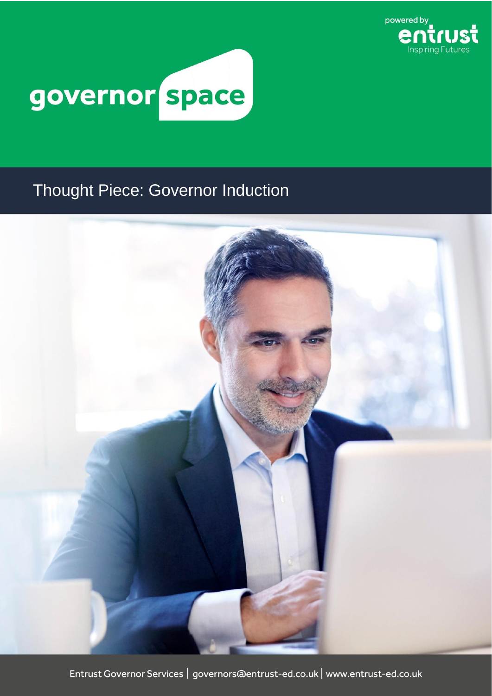

## governor space

## Thought Piece: Governor Induction

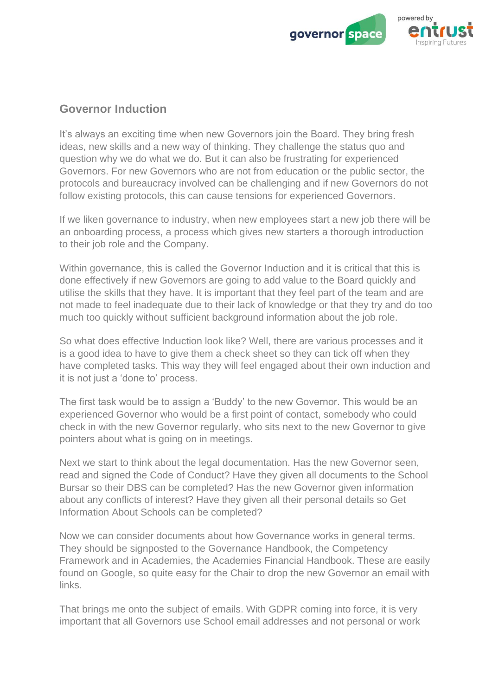

## **Governor Induction**

It's always an exciting time when new Governors join the Board. They bring fresh ideas, new skills and a new way of thinking. They challenge the status quo and question why we do what we do. But it can also be frustrating for experienced Governors. For new Governors who are not from education or the public sector, the protocols and bureaucracy involved can be challenging and if new Governors do not follow existing protocols, this can cause tensions for experienced Governors.

If we liken governance to industry, when new employees start a new job there will be an onboarding process, a process which gives new starters a thorough introduction to their job role and the Company.

Within governance, this is called the Governor Induction and it is critical that this is done effectively if new Governors are going to add value to the Board quickly and utilise the skills that they have. It is important that they feel part of the team and are not made to feel inadequate due to their lack of knowledge or that they try and do too much too quickly without sufficient background information about the job role.

So what does effective Induction look like? Well, there are various processes and it is a good idea to have to give them a check sheet so they can tick off when they have completed tasks. This way they will feel engaged about their own induction and it is not just a 'done to' process.

The first task would be to assign a 'Buddy' to the new Governor. This would be an experienced Governor who would be a first point of contact, somebody who could check in with the new Governor regularly, who sits next to the new Governor to give pointers about what is going on in meetings.

Next we start to think about the legal documentation. Has the new Governor seen, read and signed the Code of Conduct? Have they given all documents to the School Bursar so their DBS can be completed? Has the new Governor given information about any conflicts of interest? Have they given all their personal details so Get Information About Schools can be completed?

Now we can consider documents about how Governance works in general terms. They should be signposted to the Governance Handbook, the Competency Framework and in Academies, the Academies Financial Handbook. These are easily found on Google, so quite easy for the Chair to drop the new Governor an email with links.

That brings me onto the subject of emails. With GDPR coming into force, it is very important that all Governors use School email addresses and not personal or work